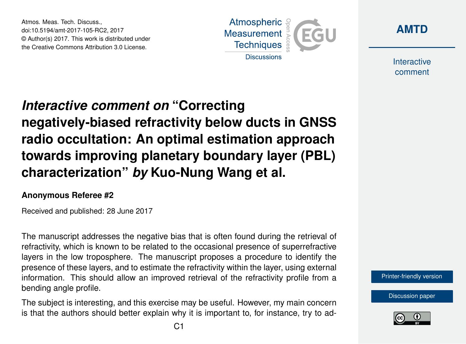Atmos. Meas. Tech. Discuss., doi:10.5194/amt-2017-105-RC2, 2017 © Author(s) 2017. This work is distributed under the Creative Commons Attribution 3.0 License.





Interactive comment

# *Interactive comment on* **"Correcting negatively-biased refractivity below ducts in GNSS radio occultation: An optimal estimation approach towards improving planetary boundary layer (PBL) characterization"** *by* **Kuo-Nung Wang et al.**

#### **Anonymous Referee #2**

Received and published: 28 June 2017

The manuscript addresses the negative bias that is often found during the retrieval of refractivity, which is known to be related to the occasional presence of superrefractive layers in the low troposphere. The manuscript proposes a procedure to identify the presence of these layers, and to estimate the refractivity within the layer, using external information. This should allow an improved retrieval of the refractivity profile from a bending angle profile.

The subject is interesting, and this exercise may be useful. However, my main concern is that the authors should better explain why it is important to, for instance, try to ad[Printer-friendly version](https://www.atmos-meas-tech-discuss.net/amt-2017-105/amt-2017-105-RC2-print.pdf)



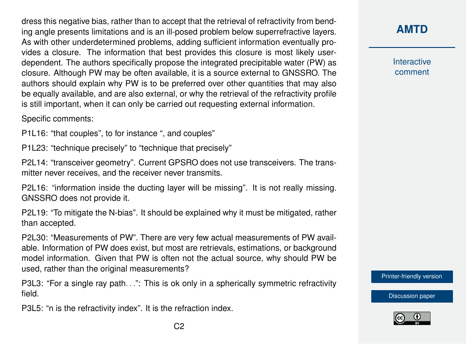dress this negative bias, rather than to accept that the retrieval of refractivity from bending angle presents limitations and is an ill-posed problem below superrefractive layers. As with other underdetermined problems, adding sufficient information eventually provides a closure. The information that best provides this closure is most likely userdependent. The authors specifically propose the integrated precipitable water (PW) as closure. Although PW may be often available, it is a source external to GNSSRO. The authors should explain why PW is to be preferred over other quantities that may also be equally available, and are also external, or why the retrieval of the refractivity profile is still important, when it can only be carried out requesting external information.

Specific comments:

P1L16: "that couples", to for instance ", and couples"

P1L23: "technique precisely" to "technique that precisely"

P2L14: "transceiver geometry". Current GPSRO does not use transceivers. The transmitter never receives, and the receiver never transmits.

P2L16: "information inside the ducting layer will be missing". It is not really missing. GNSSRO does not provide it.

P2L19: "To mitigate the N-bias". It should be explained why it must be mitigated, rather than accepted.

P2L30: "Measurements of PW". There are very few actual measurements of PW available. Information of PW does exist, but most are retrievals, estimations, or background model information. Given that PW is often not the actual source, why should PW be used, rather than the original measurements?

P3L3: "For a single ray path. . .": This is ok only in a spherically symmetric refractivity field.

P3L5: "n is the refractivity index". It is the refraction index.

### **[AMTD](https://www.atmos-meas-tech-discuss.net/)**

Interactive comment

[Printer-friendly version](https://www.atmos-meas-tech-discuss.net/amt-2017-105/amt-2017-105-RC2-print.pdf)



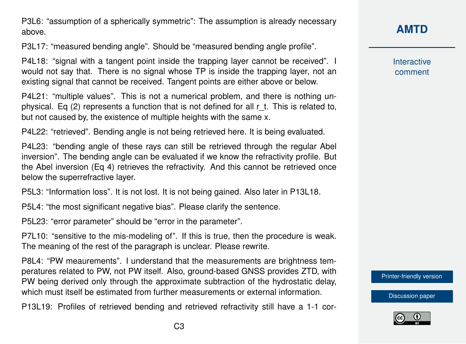P3L6: "assumption of a spherically symmetric": The assumption is already necessary above.

P3L17: "measured bending angle". Should be "measured bending angle profile".

P4L18: "signal with a tangent point inside the trapping layer cannot be received". I would not say that. There is no signal whose TP is inside the trapping layer, not an existing signal that cannot be received. Tangent points are either above or below.

P4L21: "multiple values". This is not a numerical problem, and there is nothing unphysical. Eq (2) represents a function that is not defined for all r\_t. This is related to, but not caused by, the existence of multiple heights with the same x.

P4L22: "retrieved". Bending angle is not being retrieved here. It is being evaluated.

P4L23: "bending angle of these rays can still be retrieved through the regular Abel inversion". The bending angle can be evaluated if we know the refractivity profile. But the Abel inversion (Eq 4) retrieves the refractivity. And this cannot be retrieved once below the superrefractive layer.

P5L3: "Information loss". It is not lost. It is not being gained. Also later in P13L18.

P5L4: "the most significant negative bias". Please clarify the sentence.

P5L23: "error parameter" should be "error in the parameter".

P7L10: "sensitive to the mis-modeling of". If this is true, then the procedure is weak. The meaning of the rest of the paragraph is unclear. Please rewrite.

P8L4: "PW meaurements". I understand that the measurements are brightness temperatures related to PW, not PW itself. Also, ground-based GNSS provides ZTD, with PW being derived only through the approximate subtraction of the hydrostatic delay, which must itself be estimated from further measurements or external information

P13L19: Profiles of retrieved bending and retrieved refractivity still have a 1-1 cor-

## **[AMTD](https://www.atmos-meas-tech-discuss.net/)**

Interactive comment

[Printer-friendly version](https://www.atmos-meas-tech-discuss.net/amt-2017-105/amt-2017-105-RC2-print.pdf)

[Discussion paper](https://www.atmos-meas-tech-discuss.net/amt-2017-105)